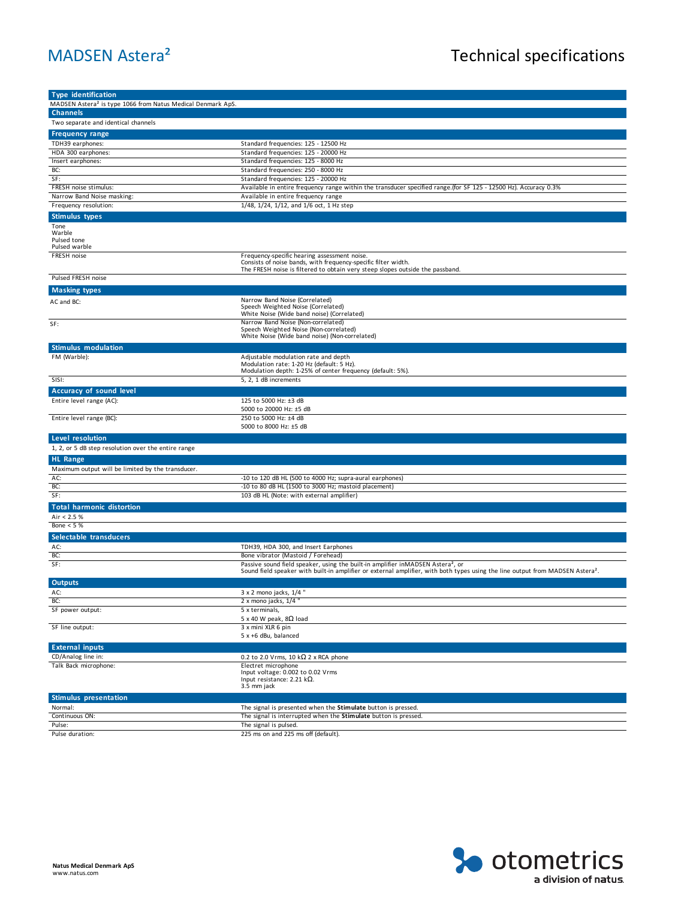| <b>Type identification</b>                                              |                                                                                                                                                                                                                                           |
|-------------------------------------------------------------------------|-------------------------------------------------------------------------------------------------------------------------------------------------------------------------------------------------------------------------------------------|
| MADSEN Astera <sup>2</sup> is type 1066 from Natus Medical Denmark ApS. |                                                                                                                                                                                                                                           |
| <b>Channels</b>                                                         |                                                                                                                                                                                                                                           |
| Two separate and identical channels                                     |                                                                                                                                                                                                                                           |
| <b>Frequency range</b>                                                  |                                                                                                                                                                                                                                           |
| TDH39 earphones:                                                        | Standard frequencies: 125 - 12500 Hz                                                                                                                                                                                                      |
| HDA 300 earphones:                                                      | Standard frequencies: 125 - 20000 Hz                                                                                                                                                                                                      |
| Insert earphones:                                                       | Standard frequencies: 125 - 8000 Hz                                                                                                                                                                                                       |
| BC:<br>SF:                                                              | Standard frequencies: 250 - 8000 Hz<br>Standard frequencies: 125 - 20000 Hz                                                                                                                                                               |
| FRESH noise stimulus:                                                   | Available in entire frequency range within the transducer specified range.(for SF 125 - 12500 Hz). Accuracy 0.3%                                                                                                                          |
| Narrow Band Noise masking:                                              | Available in entire frequency range                                                                                                                                                                                                       |
| Frequency resolution:                                                   | 1/48, 1/24, 1/12, and 1/6 oct, 1 Hz step                                                                                                                                                                                                  |
| <b>Stimulus types</b>                                                   |                                                                                                                                                                                                                                           |
| Tone<br>Warble<br>Pulsed tone<br>Pulsed warble                          |                                                                                                                                                                                                                                           |
| <b>FRESH noise</b>                                                      | Frequency-specific hearing assessment noise.<br>Consists of noise bands, with frequency-specific filter width.<br>The FRESH noise is filtered to obtain very steep slopes outside the passband.                                           |
| Pulsed FRESH noise                                                      |                                                                                                                                                                                                                                           |
| <b>Masking types</b>                                                    |                                                                                                                                                                                                                                           |
| AC and BC:                                                              | Narrow Band Noise (Correlated)<br>Speech Weighted Noise (Correlated)<br>White Noise (Wide band noise) (Correlated)                                                                                                                        |
| SF:                                                                     | Narrow Band Noise (Non-correlated)<br>Speech Weighted Noise (Non-correlated)<br>White Noise (Wide band noise) (Non-correlated)                                                                                                            |
| <b>Stimulus modulation</b>                                              |                                                                                                                                                                                                                                           |
| FM (Warble):                                                            | Adjustable modulation rate and depth<br>Modulation rate: 1-20 Hz (default: 5 Hz).<br>Modulation depth: 1-25% of center frequency (default: 5%).                                                                                           |
| SISI:                                                                   | 5, 2, 1 dB increments                                                                                                                                                                                                                     |
| Accuracy of sound level                                                 |                                                                                                                                                                                                                                           |
| Entire level range (AC):                                                | 125 to 5000 Hz: ±3 dB<br>5000 to 20000 Hz: ±5 dB                                                                                                                                                                                          |
| Entire level range (BC):                                                | 250 to 5000 Hz: ±4 dB<br>5000 to 8000 Hz: ±5 dB                                                                                                                                                                                           |
| Level resolution                                                        |                                                                                                                                                                                                                                           |
| 1, 2, or 5 dB step resolution over the entire range<br><b>HL Range</b>  |                                                                                                                                                                                                                                           |
| Maximum output will be limited by the transducer.                       |                                                                                                                                                                                                                                           |
| AC:                                                                     | -10 to 120 dB HL (500 to 4000 Hz; supra-aural earphones)                                                                                                                                                                                  |
| BC:                                                                     | -10 to 80 dB HL (1500 to 3000 Hz; mastoid placement)                                                                                                                                                                                      |
| SF:                                                                     | 103 dB HL (Note: with external amplifier)                                                                                                                                                                                                 |
| <b>Total harmonic distortion</b>                                        |                                                                                                                                                                                                                                           |
| Air < 2.5 %<br>Bone $< 5%$                                              |                                                                                                                                                                                                                                           |
|                                                                         |                                                                                                                                                                                                                                           |
| Selectable transducers                                                  |                                                                                                                                                                                                                                           |
| AC:<br>BC:                                                              | TDH39, HDA 300, and Insert Earphones<br>Bone vibrator (Mastoid / Forehead)                                                                                                                                                                |
| SF:                                                                     | Passive sound field speaker, using the built-in amplifier inMADSEN Astera <sup>2</sup> , or<br>Sound field speaker with built-in amplifier or external amplifier, with both types using the line output from MADSEN Astera <sup>2</sup> . |
| <b>Outputs</b>                                                          |                                                                                                                                                                                                                                           |
| AC:                                                                     | 3 x 2 mono jacks, 1/4 "                                                                                                                                                                                                                   |
| BC:                                                                     | 2 x mono jacks, 1/4                                                                                                                                                                                                                       |
| SF power output:                                                        | 5 x terminals,<br>5 x 40 W peak, 8 $\Omega$ load                                                                                                                                                                                          |
| SF line output:                                                         | 3 x mini XLR 6 pin<br>5 x +6 dBu, balanced                                                                                                                                                                                                |
| <b>External inputs</b>                                                  |                                                                                                                                                                                                                                           |
| CD/Analog line in:                                                      | 0.2 to 2.0 Vrms, 10 k $\Omega$ 2 x RCA phone                                                                                                                                                                                              |
| Talk Back microphone:                                                   | Electret microphone<br>Input voltage: 0.002 to 0.02 Vrms<br>Input resistance: 2.21 k $\Omega$ .<br>3.5 mm jack                                                                                                                            |
| <b>Stimulus presentation</b>                                            |                                                                                                                                                                                                                                           |
| Normal:                                                                 | The signal is presented when the Stimulate button is pressed.                                                                                                                                                                             |
| Continuous ON:                                                          | The signal is interrupted when the Stimulate button is pressed.                                                                                                                                                                           |
| Pulse:                                                                  | The signal is pulsed.<br>225 ms on and 225 ms off (default).                                                                                                                                                                              |
| Pulse duration:                                                         |                                                                                                                                                                                                                                           |